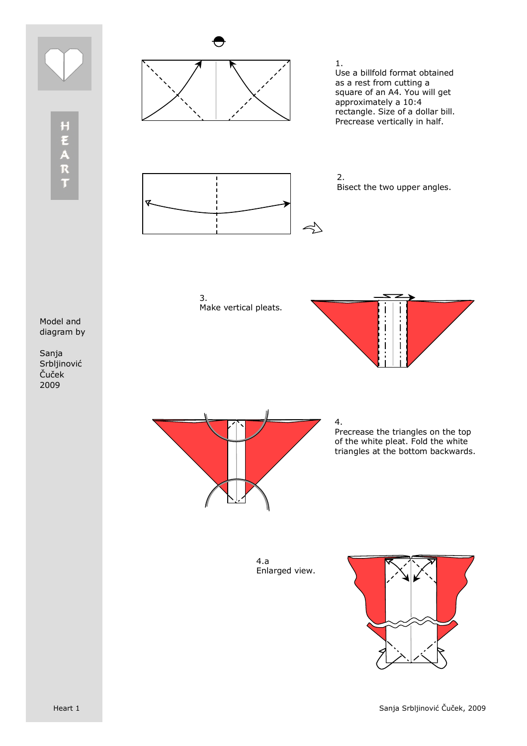

HEART



1. Use a billfold format obtained as a rest from cutting a square of an A4. You will get approximately a 10:4 rectangle. Size of a dollar bill. Precrease vertically in half.



 $\prec$ 

3. Make vertical pleats.



Sanja Srbljinović Čuček 2009





4. Precrease the triangles on the top of the white pleat. Fold the white triangles at the bottom backwards.

4.a Enlarged view.

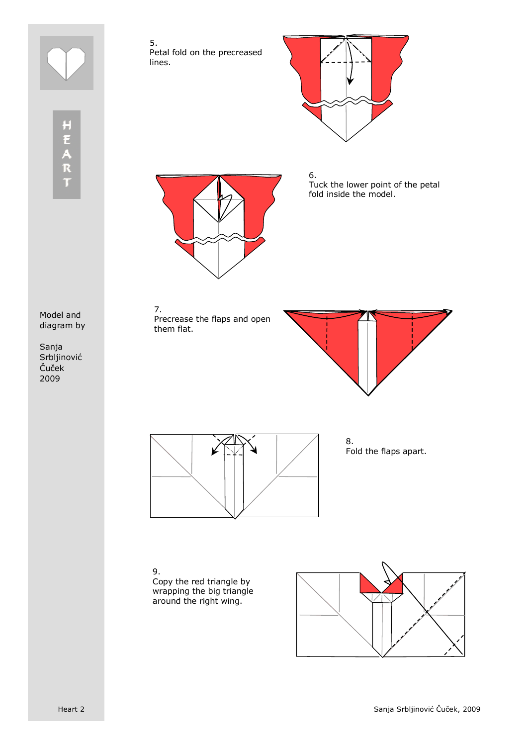

5. Petal fold on the precreased lines.



HEART



6. Tuck the lower point of the petal fold inside the model.

Model and diagram by

Sanja Srbljinović Čuček 2009

7. Precrease the flaps and open them flat.





8. Fold the flaps apart.

9. Copy the red triangle by wrapping the big triangle around the right wing.

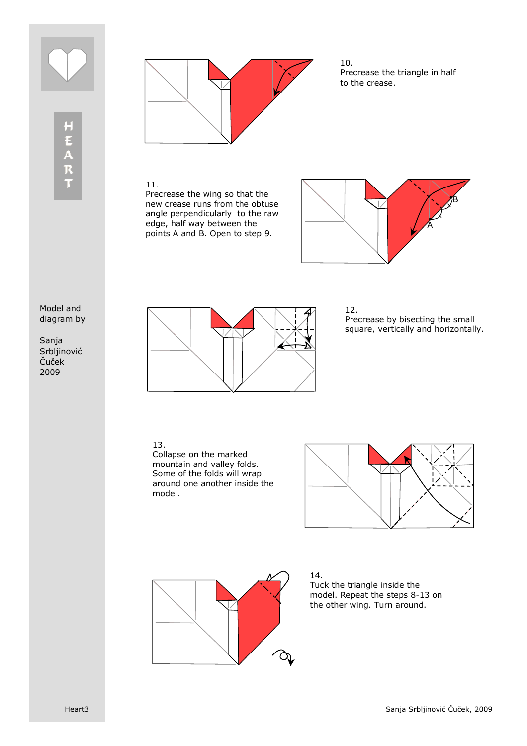



10. Precrease the triangle in half to the crease.

## 11.

Precrease the wing so that the new crease runs from the obtuse angle perpendicularly to the raw edge, half way between the points A and B. Open to step 9.



## Model and diagram by

Sanja Srbljinović Čuček 2009



12. Precrease by bisecting the small square, vertically and horizontally.

## 13.

Collapse on the marked mountain and valley folds. Some of the folds will wrap around one another inside the model.





14. Tuck the triangle inside the model. Repeat the steps 8-13 on the other wing. Turn around.